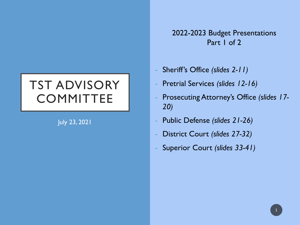# TST ADVISORY **COMMITTEE**

July 23, 2021

2022-2023 Budget Presentations Part 1 of 2

- Sheriff's Office *(slides 2-11)*
- Pretrial Services *(slides 12-16)*
- Prosecuting Attorney's Office *(slides 17- 20)*
- Public Defense *(slides 21-26)*
- District Court *(slides 27-32)*
- Superior Court *(slides 33-41)*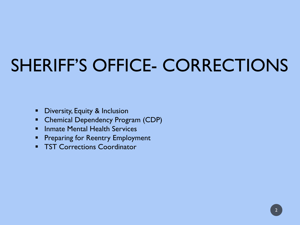# SHERIFF'S OFFICE- CORRECTIONS

- **•** Diversity, Equity & Inclusion
- Chemical Dependency Program (CDP)
- **F** Inmate Mental Health Services
- **Preparing for Reentry Employment**
- **TST Corrections Coordinator**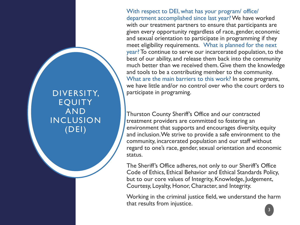With respect to DEI, what has your program/ office/ department accomplished since last year? We have worked with our treatment partners to ensure that participants are given every opportunity regardless of race, gender, economic and sexual orientation to participate in programming if they meet eligibility requirements. What is planned for the next year? To continue to serve our incarcerated population, to the best of our ability, and release them back into the community much better than we received them. Give them the knowledge and tools to be a contributing member to the community. What are the main barriers to this work? In some programs, we have little and/or no control over who the court orders to participate in programing.

Thurston County Sheriff's Office and our contracted treatment providers are committed to fostering an environment that supports and encourages diversity, equity and inclusion. We strive to provide a safe environment to the community, incarcerated population and our staff without regard to one's race, gender, sexual orientation and economic status.

The Sheriff's Office adheres, not only to our Sheriff's Office Code of Ethics, Ethical Behavior and Ethical Standards Policy, but to our core values of Integrity, Knowledge, Judgement, Courtesy, Loyalty, Honor, Character, and Integrity.

Working in the criminal justice field, we understand the harm that results from injustice.

DIVERSITY, EQUITY AND INCLUSION (DEI)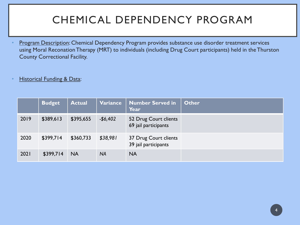## CHEMICAL DEPENDENCY PROGRAM

- Program Description: Chemical Dependency Program provides substance use disorder treatment services using Moral ReconationTherapy (MRT) to individuals (including Drug Court participants) held in the Thurston County Correctional Facility.
- **Historical Funding & Data:**

|      | <b>Budget</b> | <b>Actual</b> | Variance  | Number Served in<br>Year                      | <b>Other</b> |
|------|---------------|---------------|-----------|-----------------------------------------------|--------------|
| 2019 | \$389,613     | \$395,655     | $-56,402$ | 52 Drug Court clients<br>69 jail participants |              |
| 2020 | \$399,714     | \$360,733     | \$38,981  | 37 Drug Court clients<br>39 jail participants |              |
| 2021 | \$399,714     | <b>NA</b>     | <b>NA</b> | <b>NA</b>                                     |              |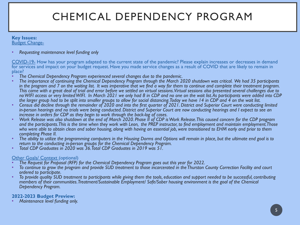## CHEMICAL DEPENDENCY PROGRAM

#### **Key Issues:** Budget Change-

• *Requesting maintenance level funding only*

COVID-19- How has your program adapted to the current state of the pandemic? Please explain increases or decreases in demand for services and impact on your budget request. Have you made service changes as a result of COVID that are likely to remain in place?<br>• The Chemical Dependency Program experienced several changes due to the pandemic.

- 
- The importance of continuing the Chemical Dependency Program through the March 2020 shutdown was critical. We had 35 participants *in the program and 7 on the waiting list. It was imperative that we find a way for them to continue and complete their treatment program. This came with a great deal of trial and error before we settled on virtual sessions. Virtual sessions also presented several challenges due to no WIFI access or very limited WIFI. In March 2021 we only had 8 in CDP and no one on the wait list. As participants were added into CDP*
- Census did decline through the remainder of 2020 and into the first quarter of 2021. District and Superior Court were conducting limited *in-person hearings and no trials were being conducted. District and Superior Court are now conducting hearings and I expect to see an*
- Work Release was also shutdown at the end of March 2020. Phase II of CDP is Work Release. This caused concern for the CDP program *and the participants. This is the time when they work with Leon, the PREP instructor, to find employment and maintain employment. Those who were able to obtain clean and sober housing, along with having an essential job, were transitioned to EHM early and prior to them completing Phase II.*
- *completing Phase II. The ability to utilize the programming computers in the Housing Dorms and Options will remain in place, but the ultimate end goal is to return to the conducting in-person groups for the Chemical Dependency Program.* • *Total CDP Graduates in 2020 was 36. Total CDP Graduates in 2019 was 51.*
- 

- 
- Other Goals/ Context (optional)<br>• The Request for Proposal (RFP) for the Chemical Dependency Program goes out this year for 2022.<br>• To continue to grow the program and provide SUD treatment to those incarcerated in the Thu
- *ordered to participate. To provide quality SUD treatment to participants while giving them the tools, education and support needed to be successful, contributing members of their communities. Treatment/Sustainable Employment/ Safe/Sober housing environment is the goal of the Chemical Dependency Program.*

### **2022-2023 Budget Preview:** • *Maintenance level funding only.*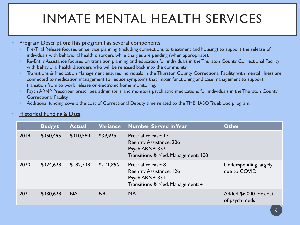# INMATE MENTAL HEALTH SERVICES

- Program Description: This program has several components:
	- Pre-Trial Release focuses on service planning (including connections to treatment and housing) to support the release of individuals with behavioral health disorders while charges are pending (when appropriate).
	- Re-Entry Assistance focuses on transition planning and education for individuals in the Thurston County Correctional Facility with behavioral health disorders who will be released back into the community.
	- Transitions & Medication Management ensures individuals in the Thurston County Correctional Facility with mental illness are connected to medication management to reduce symptoms that impair functioning and case management to support transition from to work release or electronic home monitoring.
	- Psych ARNP Prescriber prescribes, administers, and monitors psychiatric medications for individuals in the Thurston County Correctional Facility.
	- Additional funding covers the cost of Correctional Deputy time related to the TMBHASO Trueblood program.

|      | <b>Budget</b> | <b>Actual</b> | Variance  | <b>Number Served in Year</b>                                                                                    | <b>Other</b>                            |
|------|---------------|---------------|-----------|-----------------------------------------------------------------------------------------------------------------|-----------------------------------------|
| 2019 | \$350,495     | \$310,580     | \$39,915  | Pretrial release: 13<br><b>Reentry Assistance: 206</b><br>Psych ARNP: 352<br>Transitions & Med. Management: 100 |                                         |
| 2020 | \$324,628     | \$182,738     | \$141,890 | Pretrial release: 8<br><b>Reentry Assistance: 126</b><br>Psych ARNP: 331<br>Transitions & Med. Management: 41   | Underspending largely<br>due to COVID   |
| 2021 | \$330,628     | <b>NA</b>     | <b>NA</b> | <b>NA</b>                                                                                                       | Added \$6,000 for cost<br>of psych meds |

#### **Historical Funding & Data:**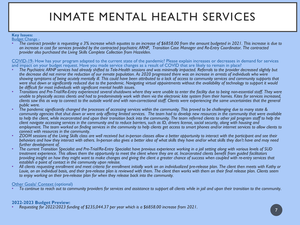# INMATE MENTAL HEALTH SERVICES

#### **Key Issues:** Budget Change -

• *The contract provider is requesting a 3% increase which equates to an increase of \$6858.00 from the amount budgeted in 2021. This increase is due to an increase in cost for services provided by the contracted psychiatric ARNP, Transition Case Manager and Re-Entry Coordinator. The contracted provider also purchased the Living Skills Complete Collection from Hazelden.* 

COVID-19- How has your program adapted to the current state of the pandemic? Please explain increases or decreases in demand for services and impact on your budget request. Have you made service changes as a result of COVID that are likely to remain in place?

- *The Psychiatric ARNP services had already shifted to Tele-Health sessions and was minimally impacted. Referrals to the provider decreased slightly but the decrease did not mirror the reduction of our inmate population. As 2020 progressed there was an increase in arrests of individuals who were showing symptoms of being acutely mentally ill. This could have been attributed to a lack of access to community services and community supports that were shut down or significantly reduced due to the pandemic. Navigating virtual appointments without the availability of technology to support it would*
- Transitions and Pre-Trial/Re-Entry experienced several shutdowns where they were unable to enter the facility due to being non-essential staff. They were *unable to physically access clients and had to predominately work with them via the electronic kite system from their homes. Kites for services increased, clients saw this as way to connect to the outside world and with non-correctional staff. Clients were experiencing the same uncertainties that the general*
- The pandemic significantly changed the processes of accessing services within the community. This proved to be challenging due to many state & *community agencies that shut down or were only offering limited services. The team had to develop new resources in the community that were available*  to help the client, while incarcerated and upon their transition back into the community. The team referred clients to other jail program staff to help the *client navigate accessing services in the community and to reduce barriers, such as ID, drivers license, social security, along with housing and employment. The team worked on finding services in the community to help clients get access to smart phones and/or internet services to allow clients to*
- *connect with resources in the community. ZOOM sessions of the Living Skills class are well received but in-person classes allow a better opportunity to interact with the participant and see their behaviors and how they interact with others. In-person also gives a better idea of what skills they have and/or what skills they don't have and may need*
- *further development of. The current Transition Specialist and Pre-Trial/Re-Entry Specialist have previous experience working in a jail setting along with various levels of SUD treatment experience. This allows them the opportunity to meet the client where they are at. Incarcerated clients benefit from guided facilitators providing insight on how they might want to make changes and giving the client a greater chance of success when coupled with re-entry services that*
- All clients requesting enrollment and meet criteria for enrollment initially work on an individualized pre-release plan. The client then meets with Kathy or *Louie, on an individual basis, and their pre-release plan is reviewed with them. The client then works with them on their final release plan. Clients seem to enjoy working on their pre-release plan for when they release back into the community.*

Other Goals/ Context (optional) • *To continue to reach out to community providers for services and assistance to support all clients while in jail and upon their transition to the community.*

**2022-2023 Budget Preview:** • *Requesting for 2022/2023 funding of \$235,044.37 per year which is a \$6858.00 increase from 2021.* <sup>7</sup>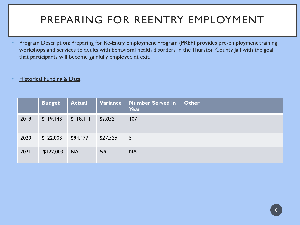## PREPARING FOR REENTRY EMPLOYMENT

- Program Description: Preparing for Re-Entry Employment Program (PREP) provides pre-employment training workshops and services to adults with behavioral health disorders in the Thurston County Jail with the goal that participants will become gainfully employed at exit.
- **Historical Funding & Data:**

|      | <b>Budget</b> | <b>Actual</b> | Variance  | Number Served in<br>Year | <b>Other</b> |
|------|---------------|---------------|-----------|--------------------------|--------------|
| 2019 | \$119,143     | \$118,111     | \$1,032   | 107                      |              |
| 2020 | \$122,003     | \$94,477      | \$27,526  | 51                       |              |
| 2021 | \$122,003     | <b>NA</b>     | <b>NA</b> | <b>NA</b>                |              |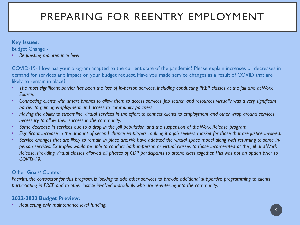## PREPARING FOR REENTRY EMPLOYMENT

#### **Key Issues:**

Budget Change -

• *Requesting maintenance level*

COVID-19- How has your program adapted to the current state of the pandemic? Please explain increases or decreases in demand for services and impact on your budget request. Have you made service changes as a result of COVID that are likely to remain in place?

- *The most significant barrier has been the loss of in-person services, including conducting PREP classes at the jail and at Work Source.*
- *Connecting clients with smart phones to allow them to access services, job search and resources virtually was a very significant barrier to gaining employment and access to community partners.*
- *Having the ability to streamline virtual services in the effort to connect clients to employment and other wrap around services necessary to allow their success in the community.*
- *Some decrease in services due to a drop in the jail population and the suspension of the Work Release program.*
- *Significant increase in the amount of second chance employers making it a job seekers market for those that are justice involved.*
- *Service changes that are likely to remain in place are: We have adapted the virtual space model along with returning to some inperson services. Examples would be able to conduct both in-person or virtual classes to those incarcerated at the jail and Work Release. Providing virtual classes allowed all phases of CDP participants to attend class together. This was not an option prior to COVID-19.*

### Other Goals/ Context

*PacMtn, the contractor for this program, is looking to add other services to provide additional supportive programming to clients participating in PREP and to other justice involved individuals who are re-entering into the community.* 

### **2022-2023 Budget Preview:**

• *Requesting only maintenance level funding.*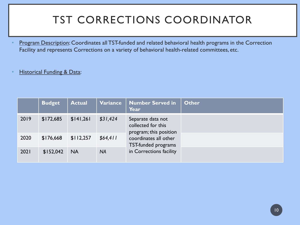## TST CORRECTIONS COORDINATOR

Program Description: Coordinates all TST-funded and related behavioral health programs in the Correction Facility and represents Corrections on a variety of behavioral health-related committees, etc.

### **Historical Funding & Data:**

|      | <b>Budget</b> | <b>Actual</b> | Variance  | <b>Number Served in</b><br>Year                                   | <b>Other</b> |
|------|---------------|---------------|-----------|-------------------------------------------------------------------|--------------|
| 2019 | \$172,685     | \$141,261     | \$31,424  | Separate data not<br>collected for this<br>program; this position |              |
| 2020 | \$176,668     | \$112,257     | \$64,411  | coordinates all other<br>TST-funded programs                      |              |
| 2021 | \$152,042     | <b>NA</b>     | <b>NA</b> | in Corrections facility                                           |              |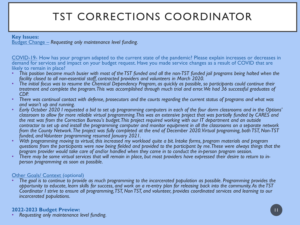## TST CORRECTIONS COORDINATOR

#### **Key Issues:**

Budget Change – *Requesting only maintenance level funding.* 

COVID-19- How has your program adapted to the current state of the pandemic? Please explain increases or decreases in demand for services and impact on your budget request. Have you made service changes as a result of COVID that are likely to remain in place?

- *This position became much busier with most of the TST funded and all the non-TST funded jail programs being halted when the*
- facility closed to all non-essential staff, contracted providers and volunteers in March 2020.<br>The initial focus was to resume the Chemical Dependency Program, as quickly as possible, so participants could continue their *treatment and complete the program. This was accomplished through much trial and error. We had 36 successful graduates of*
- *CDP. There was continual contact with defense, prosecutors and the courts regarding the current status of programs and what was*
- *and wasn't up and running. Early October 2020 I requested a bid to set up programming computers in each of the four dorm classrooms and in the Options' classroom to allow for more reliable virtual programming. This was an extensive project that was partially funded by CARES and the rest was from the Correction Bureau's budget. This project required working with our IT department and an outside contractor to set up and install the programming computer and monitor equipment in all the classrooms on a separate network from the County Network. The project was fully completed at the end of December 2020. Virtual programing, both TST, Non-TST funded, and Volunteer programming resumed January 2021.*
- *funded, and Volunteer programming resumed January 2021. With programming moving to virtual, this increased my workload quite a bit. Intake forms, program materials and program questions from the participants were now being fielded and provided to the participant by me. These were always things that the*
- program provider would take care of and/or handled when they came in to conduct the in-person program session.<br>There may be some virtual services that will remain in place, but most providers have expressed their desire to

Other Goals/ Context (optional) • *The goal is to continue to provide as much programming to the incarcerated population as possible. Programming provides the opportunity to educate, learn skills for success, and work on a re-entry plan for releasing back into the community. As the TST Coordinator I strive to ensure all programming, TST, Non TST, and volunteer, provides coordinated services and learning to our incarcerated populations.* 

**2022-2023 Budget Preview:** • *Requesting only maintenance level funding.*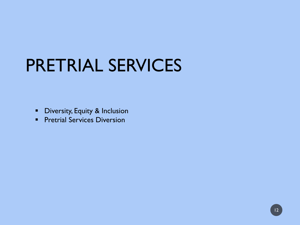# PRETRIAL SERVICES

- **•** Diversity, Equity & Inclusion
- **Pretrial Services Diversion**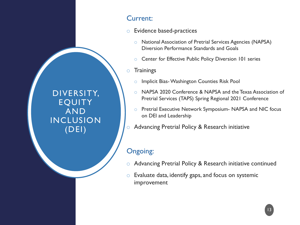DIVERSITY, EQUITY AND INCLUSION (DEI)

### Current:

- o Evidence based-practices
	- o National Association of Pretrial Services Agencies (NAPSA) Diversion Performance Standards and Goals
	- o Center for Effective Public Policy Diversion 101 series
- o Trainings
	- o Implicit Bias-Washington Counties Risk Pool
	- o NAPSA 2020 Conference & NAPSA and the Texas Association of Pretrial Services (TAPS) Spring Regional 2021 Conference
	- o Pretrial Executive Network Symposium- NAPSA and NIC focus on DEI and Leadership
- o Advancing Pretrial Policy & Research initiative

### Ongoing:

- o Advancing Pretrial Policy & Research initiative continued
- $\circ$  Evaluate data, identify gaps, and focus on systemic improvement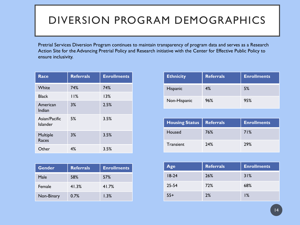### DIVERSION PROGRAM DEMOGRAPHICS

Pretrial Services Diversion Program continues to maintain transparency of program data and serves as a Research Action Site for the Advancing Pretrial Policy and Research initiative with the Center for Effective Public Policy to ensure inclusivity.

| Race                      | <b>Referrals</b> | <b>Enrollments</b> |
|---------------------------|------------------|--------------------|
| White                     | 74%              | 74%                |
| <b>Black</b>              | 11%              | 13%                |
| American<br>Indian        | 3%               | 2.5%               |
| Asian/Pacific<br>Islander | 5%               | 3.5%               |
| Multiple<br>Races         | 3%               | 3.5%               |
| Other                     | 4%               | 3.5%               |

| <b>Gender</b> | <b>Referrals</b> | <b>Enrollments</b> |
|---------------|------------------|--------------------|
| Male          | 58%              | 57%                |
| Female        | 41.3%            | 41.7%              |
| Non-Binary    | 0.7%             | 1.3%               |

| <b>Ethnicity</b> | <b>Referrals</b> | <b>Enrollments</b> |
|------------------|------------------|--------------------|
| Hispanic         | 4%               | 5%                 |
| Non-Hispanic     | 96%              | 95%                |

| <b>Housing Status   Referrals</b> |     | <b>Enrollments</b> |
|-----------------------------------|-----|--------------------|
| Housed                            | 76% | 71%                |
| Transient                         | 24% | <b>29%</b>         |

| Age       | <b>Referrals</b> | <b>Enrollments</b> |
|-----------|------------------|--------------------|
| $18-24$   | 26%              | 31%                |
| $25 - 54$ | 72%              | 68%                |
| $55+$     | 2%               | 1%                 |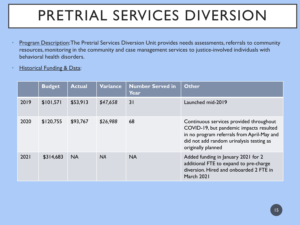# PRETRIAL SERVICES DIVERSION

- Program Description: The Pretrial Services Diversion Unit provides needs assessments, referrals to community resources, monitoring in the community and case management services to justice-involved individuals with behavioral health disorders.
- **Historical Funding & Data:**

|      | <b>Budget</b> | <b>Actual</b> | Variance  | <b>Number Served in</b><br>Year | <b>Other</b>                                                                                                                                                                                       |
|------|---------------|---------------|-----------|---------------------------------|----------------------------------------------------------------------------------------------------------------------------------------------------------------------------------------------------|
| 2019 | \$101,571     | \$53,913      | \$47,658  | 31                              | Launched mid-2019                                                                                                                                                                                  |
| 2020 | \$120,755     | \$93,767      | \$26,988  | 68                              | Continuous services provided throughout<br>COVID-19, but pandemic impacts resulted<br>in no program referrals from April-May and<br>did not add random urinalysis testing as<br>originally planned |
| 2021 | \$314,683     | <b>NA</b>     | <b>NA</b> | <b>NA</b>                       | Added funding in January 2021 for 2<br>additional FTE to expand to pre-charge<br>diversion. Hired and onboarded 2 FTE in<br>March 2021                                                             |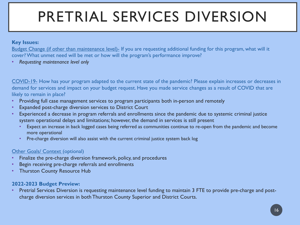# PRETRIAL SERVICES DIVERSION

### **Key Issues:**

Budget Change (if other than maintenance level)- If you are requesting additional funding for this program, what will it cover? What unmet need will be met or how will the program's performance improve?

• *Requesting maintenance level only*

COVID-19- How has your program adapted to the current state of the pandemic? Please explain increases or decreases in demand for services and impact on your budget request. Have you made service changes as a result of COVID that are likely to remain in place?

- Providing full case management services to program participants both in-person and remotely
- Expanded post-charge diversion services to District Court
- Experienced a decrease in program referrals and enrollments since the pandemic due to systemic criminal justice system operational delays and limitations; however, the demand in services is still present
	- Expect an increase in back logged cases being referred as communities continue to re-open from the pandemic and become more operational
	- Pre-charge diversion will also assist with the current criminal justice system back log

### **Other Goals/ Context (optional)**

- Finalize the pre-charge diversion framework, policy, and procedures
- Begin receiving pre-charge referrals and enrollments
- **Thurston County Resource Hub**

### **2022-2023 Budget Preview:**

• Pretrial Services Diversion is requesting maintenance level funding to maintain 3 FTE to provide pre-charge and postcharge diversion services in both Thurston County Superior and District Courts.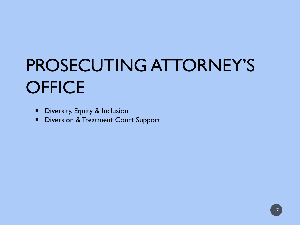# PROSECUTING ATTORNEY'S **OFFICE**

- **•** Diversity, Equity & Inclusion
- **Diversion & Treatment Court Support**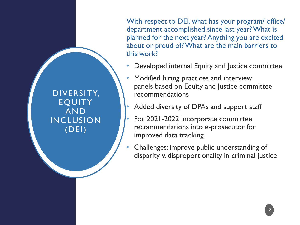With respect to DEI, what has your program/ office/ department accomplished since last year? What is planned for the next year? Anything you are excited about or proud of? What are the main barriers to this work?

- Developed internal Equity and Justice committee
- Modified hiring practices and interview panels based on Equity and Justice committee recommendations
- Added diversity of DPAs and support staff

DIVERSITY,

EQUITY

AND

INCLUSION

(DEI)

- For 2021-2022 incorporate committee recommendations into e-prosecutor for improved data tracking
- Challenges: improve public understanding of disparity v. disproportionality in criminal justice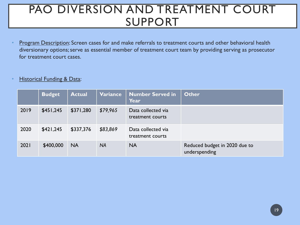## PAO DIVERSION AND TREATMENT COURT SUPPORT

• Program Description: Screen cases for and make referrals to treatment courts and other behavioral health diversionary options; serve as essential member of treatment court team by providing serving as prosecutor for treatment court cases.

#### **Historical Funding & Data:**

|      | <b>Budget</b> | <b>Actual</b> | Variance  | <b>Number Served in</b><br><b>Year</b> | Other                                          |
|------|---------------|---------------|-----------|----------------------------------------|------------------------------------------------|
| 2019 | \$451,245     | \$371,280     | \$79,965  | Data collected via<br>treatment courts |                                                |
| 2020 | \$421,245     | \$337,376     | \$83,869  | Data collected via<br>treatment courts |                                                |
| 2021 | \$400,000     | <b>NA</b>     | <b>NA</b> | <b>NA</b>                              | Reduced budget in 2020 due to<br>underspending |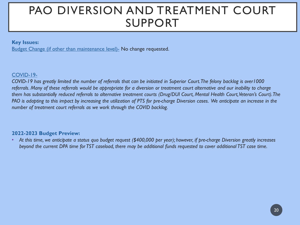## PAO DIVERSION AND TREATMENT COURT SUPPORT

#### **Key Issues:**

Budget Change (if other than maintenance level)- No change requested.

#### COVID-19-

*COVID-19 has greatly limited the number of referrals that can be initiated in Superior Court. The felony backlog is over1000 referrals. Many of these referrals would be appropriate for a diversion or treatment court alternative and our inability to charge them has substantially reduced referrals to alternative treatment courts (Drug/DUI Court, Mental Health Court, Veteran's Court).The PAO is adapting to this impact by increasing the utilization of PTS for pre-charge Diversion cases. We anticipate an increase in the number of treatment court referrals as we work through the COVID backlog.*

#### **2022-2023 Budget Preview:**

• *At this time, we anticipate a status quo budget request (\$400,000 per year); however, if pre-charge Diversion greatly increases beyond the current DPA time for TST caseload, there may be additional funds requested to cover additional TST case time.*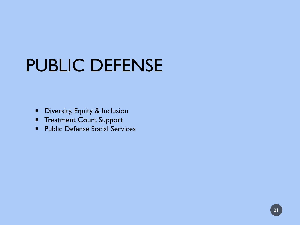# PUBLIC DEFENSE

- **•** Diversity, Equity & Inclusion
- **Treatment Court Support**
- **Public Defense Social Services**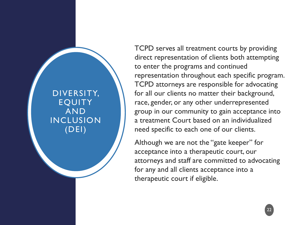DIVERSITY, EQUITY AND INCLUSION (DEI)

TCPD serves all treatment courts by providing direct representation of clients both attempting to enter the programs and continued representation throughout each specific program. TCPD attorneys are responsible for advocating for all our clients no matter their background, race, gender, or any other underrepresented group in our community to gain acceptance into a treatment Court based on an individualized need specific to each one of our clients.

Although we are not the "gate keeper" for acceptance into a therapeutic court, our attorneys and staff are committed to advocating for any and all clients acceptance into a therapeutic court if eligible.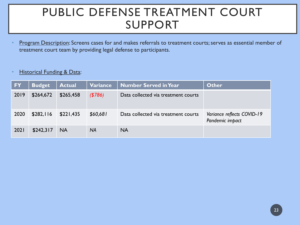## PUBLIC DEFENSE TREATMENT COURT SUPPORT

Program Description: Screens cases for and makes referrals to treatment courts; serves as essential member of treatment court team by providing legal defense to participants.

#### **Historical Funding & Data:**

| <b>FY</b> | <b>Budget</b> | <b>Actual</b> | <b>Variance</b> | <b>Number Served in Year</b>        | <b>Other</b>                                  |
|-----------|---------------|---------------|-----------------|-------------------------------------|-----------------------------------------------|
| 2019      | \$264,672     | \$265,458     | ( \$786)        | Data collected via treatment courts |                                               |
| 2020      | \$282,116     | \$221,435     | \$60,681        | Data collected via treatment courts | Variance reflects COVID-19<br>Pandemic impact |
| 2021      | \$242,317     | <b>NA</b>     | <b>NA</b>       | <b>NA</b>                           |                                               |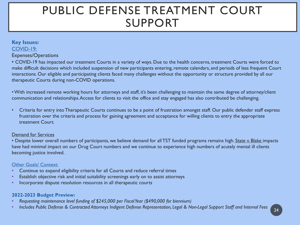## PUBLIC DEFENSE TREATMENT COURT SUPPORT

### **Key Issues:** COVID-19:

#### Expenses/Operations

• COVID-19 has impacted our treatment Courts in a variety of ways. Due to the health concerns, treatment Courts were forced to make difficult decisions which included suspension of new participants entering, remote calendars, and periods of less frequent Court interactions. Our eligible and participating clients faced many challenges without the opportunity or structure provided by all our therapeutic Courts during non-COVID operations.

• With increased remote working hours for attorneys and staff, it's been challenging to maintain the same degree of attorney/client communication and relationships. Access for clients to visit the office and stay engaged has also contributed be challenging.

• Criteria for entry into Therapeutic Courts continues to be a point of frustration amongst staff. Our public defender staff express frustration over the criteria and process for gaining agreement and acceptance for willing clients to entry the appropriate treatment Court.

#### Demand for Services

• Despite lower overall numbers of participants, we believe demand for all TST funded programs remains high. State v. Blake impacts have had minimal impact on our Drug Court numbers and we continue to experience high numbers of acutely mental ill clients becoming justice involved.

#### Other Goals/ Context:

- Continue to expand eligibility criteria for all Courts and reduce referral times
- Establish objective risk and initial suitability screenings early on to assist attorneys
- Incorporate dispute resolution resources in all therapeutic courts

#### **2022-2023 Budget Preview:**

- *Requesting maintenance level funding of \$245,000 per Fiscal Year (\$490,000 for biennium)*
- *Includes Public Defense & Contracted Attorneys Indigent Defense Representation, Legal & Non-Legal Support Staff and Internal Fees* <sup>24</sup>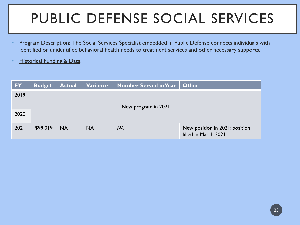# PUBLIC DEFENSE SOCIAL SERVICES

- Program Description: The Social Services Specialist embedded in Public Defense connects individuals with identified or unidentified behavioral health needs to treatment services and other necessary supports.
- **Historical Funding & Data:**

| <b>FY</b> | <b>Budget</b>       | <b>Actual</b> | Variance  | <b>Number Served in Year</b> | <b>Other</b>                                           |  |  |
|-----------|---------------------|---------------|-----------|------------------------------|--------------------------------------------------------|--|--|
| 2019      | New program in 2021 |               |           |                              |                                                        |  |  |
| 2020      |                     |               |           |                              |                                                        |  |  |
| 2021      | \$99,019            | <b>NA</b>     | <b>NA</b> | <b>NA</b>                    | New position in 2021; position<br>filled in March 2021 |  |  |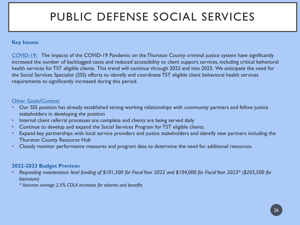## PUBLIC DEFENSE SOCIAL SERVICES

#### **Key Issues:**

COVID-19**:** The impacts of the COVID-19 Pandemic on the Thurston County criminal justice system have significantly increased the number of backlogged cases and reduced accessibility to client support services, including critical behavioral health services for TST eligible clients. This trend will continue through 2022 and into 2023. We anticipate the need for the Social Services Specialist (SSS) efforts to identify and coordinate TST eligible client behavioral health services requirements to significantly increased during this period.

#### Other Goals/Context

- Our SSS position has already established strong working relationships with community partners and fellow justice stakeholders in developing the position
- Internal client referral processes are complete and clients are being served daily
- Continue to develop and expand the Social Services Program for TST eligible clients.
- Expand key partnerships with local service providers and justice stakeholders and identify new partners including the Thurston County Resource Hub
- Closely monitor performance measures and program data to determine the need for additional resources.

#### **2022-2023 Budget Preview:**

• *Requesting maintenance level funding of \$101,500 for Fiscal Year 2022 and \$104,000 for Fiscal Year 2023\* (\$205,500 for biennium)* 

*\* Assumes average 2.5% COLA increases for salaries and benefits*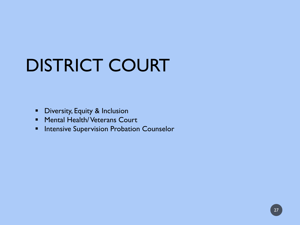# DISTRICT COURT

- **•** Diversity, Equity & Inclusion
- **Mental Health/ Veterans Court**
- **Intensive Supervision Probation Counselor**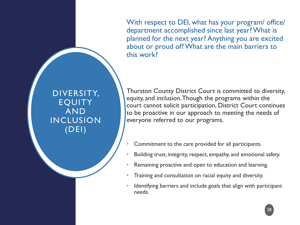With respect to DEI, what has your program/ office/ department accomplished since last year? What is planned for the next year? Anything you are excited about or proud of? What are the main barriers to this work?

DIVERSITY, EQUITY AND INCLUSION (DEI)

Thurston County District Court is committed to diversity, equity, and inclusion. Though the programs within the court cannot solicit participation, District Court continues to be proactive in our approach to meeting the needs of everyone referred to our programs.

- Commitment to the care provided for all participants.
- Building trust, integrity, respect, empathy, and emotional safety.
- Remaining proactive and open to education and learning.
- Training and consultation on racial equity and diversity.
- Identifying barriers and include goals that align with participant needs.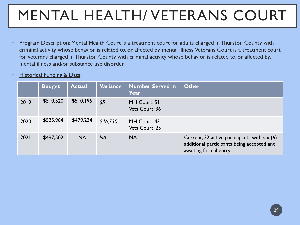# MENTAL HEALTH/ VETERANS COURT

- Program Description: Mental Health Court is a treatment court for adults charged in Thurston County with criminal activity whose behavior is related to, or affected by, mental illness. Veterans Court is a treatment court for veterans charged in Thurston County with criminal activity whose behavior is related to, or affected by, mental illness and/or substance use disorder.
- **Historical Funding & Data:**

|      | <b>Budget</b> | <b>Actual</b> | Variance  | <b>Number Served in</b><br><b>Year</b> | <b>Other</b>                                                                                                         |
|------|---------------|---------------|-----------|----------------------------------------|----------------------------------------------------------------------------------------------------------------------|
| 2019 | \$510,520     | \$510,195     | \$5       | MH Court: 51<br>Vets Court: 36         |                                                                                                                      |
| 2020 | \$525,964     | \$479,234     | \$46,730  | MH Court: 43<br>Vets Court: 25         |                                                                                                                      |
| 2021 | \$497,502     | <b>NA</b>     | <b>NA</b> | <b>NA</b>                              | Current, 32 active participants with six (6)<br>additional participants being accepted and<br>awaiting formal entry. |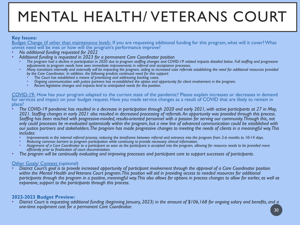# MENTAL HEALTH/ VETERANS COURT

#### **Key Issues:**

Budget Change (if other than maintenance level)- If you are requesting additional funding for this program, what will it cover? What unmet need will be met or how will the program's performance improve?<br>• No additional funding requested for 2022

- 
- *No additional funding requested for 2022 Additional funding is requested in 2023 for a permanent Care Coordinator position*
	- The program had a decline in participation in 2020 due to program staffing changes and COVID-19 related impacts detailed below. Full staffing and progressive adjustments to program needs have seen immediate improvements in
	- Many transitions internally and externally will be impacting the program, aiding to increased case referrals establishing the need for additional resources provided *by the Care Coordinator. In addition, the following predicts continued need for this support:* 
		-
		- Ongoing communication with justice partners has re-established the option and opportunity for client involvement in the program.<br>Recent legislative changes and impacts lend to anticipated needs for this position.
		-

COVID-19- How has your program adapted to the current state of the pandemic? Please explain increases or decreases in demand for services and impact on your budget request. Have you made service changes as a result of COVID that are likely to remain in place?

- *The COVID-19 pandemic has resulted in a decrease in participation through 2020 and early 2021, with active participants at 27 in May, 2021. Staffing changes in early 2021 also resulted in decreased processing of referrals. An opportunity was provided through this process. Staffing has been reached with progressive-minded, results-oriented personnel with a passion for serving our community. Through this, not only could processes be re-evaluated systemically within the program, but a new line of advanced communication could be established with our justice partners and stakeholders. The program has made progressive changes to meeting the needs of clients in a meaningful way. This*  includes:<br>• Improvements in the internal referral process: reducing the timeframe between referral and entrance into the program from 2-6 months to 10-14 days.
	-
	-
	- Reducing common barriers to program participation while continuing to provide necessary clinical information.<br>Assignment of a Care Coordinator to a participant as soon as the participant is accepted into the program, allow *efficiently prior to finalization of court documentation.*
- *The program will be continually evaluating and improving processes and participant care to support successes of participants.*

Other Goals/ Context (optional) • *District Court's goal is to provide increased opportunity of participant involvement through the approval of a Care Coordinator position within the Mental Health and Veterans Court program. This position will aid in providing access to needed resources for additional participants through the program in a positive, meaningful way. This also allows for options in process changes to allow for earlier, as well as expansive, support to the participants through this process.*

**2022-2023 Budget Preview:** • *District Court is requesting additional funding (beginning January, 2023) in the amount of \$106,168 for ongoing salary and benefits, and a*  **one-time equipment cost for a permanent Care Coordinator.** 30 **30 30 30 30 30**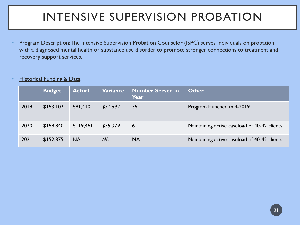# INTENSIVE SUPERVISION PROBATION

Program Description: The Intensive Supervision Probation Counselor (ISPC) serves individuals on probation with a diagnosed mental health or substance use disorder to promote stronger connections to treatment and recovery support services.

### **Historical Funding & Data:**

|      | <b>Budget</b> | <b>Actual</b> | <b>Variance</b> | <b>Number Served in</b><br>Year | <b>Other</b>                                 |
|------|---------------|---------------|-----------------|---------------------------------|----------------------------------------------|
| 2019 | \$153,102     | \$81,410      | \$71,692        | 35                              | Program launched mid-2019                    |
| 2020 | \$158,840     | \$119,461     | \$39,379        | 61                              | Maintaining active caseload of 40-42 clients |
| 2021 | \$152,375     | <b>NA</b>     | <b>NA</b>       | <b>NA</b>                       | Maintaining active caseload of 40-42 clients |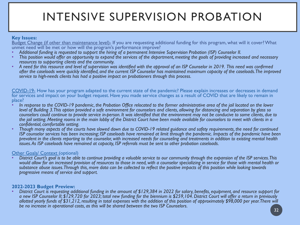# INTENSIVE SUPERVISION PROBATION

#### **Key Issues:**

Budget Change (if other than maintenance level)- If you are requesting additional funding for this program, what will it cover? What unmet need will be met or how will the program's performance improve?<br>• Additional funding is requested to support the hiring of a permanent Intensive Supervision Probation (ISP) Counselor II.

- 
- This position would offer an opportunity to expand the services of the department, meeting the goals of providing increased and necessary resources to supporting clients and the community.
- *resources to supporting clients and the community. A need for this resource and level of supervision was identified with the approval of an ISP Counselor in 2019. This need was confirmed after the caseloads were quickly identified, and the current ISP Counselor has maintained maximum capacity of the caseloads. The improved service to high-needs clients has had a positive impact on probationers through this process.*

COVID-19- How has your program adapted to the current state of the pandemic? Please explain increases or decreases in demand for services and impact on your budget request. Have you made service changes as a result of COVID that are likely to remain in place?

- *In response to the COVID-19 pandemic, the Probation Office relocated to the former administrative area of the jail located on the lower level of Building 3. This option provided a safe environment for counselors and clients, allowing for distancing and separation by glass so counselors could continue to provide service in-person. It was identified that the environment may not be conducive to some clients, due to the jail setting. Meeting rooms in the main lobby of the District Court have been made available for counselors to meet with clients in a*
- *confidential, comfortable setting. Though many aspects of the courts have slowed down due to COVID-19 related guidance and safety requirements, the need for continued ISP counselor services has been increasing; ISP caseloads have remained at limit through the pandemic. Impacts of the pandemic have been prevalent in the clients reporting to the counselor, with increased needs for counseling and treatments in addition to existing mental health issues. As ISP caseloads have remained at capacity, ISP referrals must be sent to other probation caseloads.*

Other Goals/ Context (optional) • *District Court's goal is to be able to continue providing a valuable service to our community through the expansion of the ISP services. This would allow for an increased provision of resources to those in need, with a counselor specializing in service for those with mental health or substance abuse issues. Through this, more data can be collected to reflect the positive impacts of this position while looking towards progressive means of service and support.*

**2022-2023 Budget Preview:** • *District Court is requesting additional funding in the amount of \$129,384 in 2022 for salary, benefits, equipment, and resource support for a new ISP Counselor II; \$129,720 for 2023; total new funding for the biennium is \$259,104. District Court will offer a return in previously allotted yearly funds of \$31,212, resulting in total expenses with the addition of this position of approximately \$98,000 per year. There will be no increase in operational costs, as this will be shared between the two ISP Counselors.*  $\begin{array}{|c|c|c|}\hline \end{array}$  32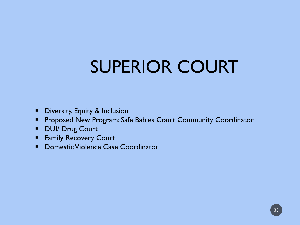# SUPERIOR COURT

- **•** Diversity, Equity & Inclusion
- **Proposed New Program: Safe Babies Court Community Coordinator**
- **DUI/ Drug Court**
- **Family Recovery Court**
- **Domestic Violence Case Coordinator**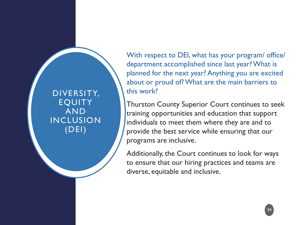DIVERSITY, EQUITY AND INCLUSION (DEI)

With respect to DEI, what has your program/ office/ department accomplished since last year? What is planned for the next year? Anything you are excited about or proud of? What are the main barriers to this work?

Thurston County Superior Court continues to seek training opportunities and education that support individuals to meet them where they are and to provide the best service while ensuring that our programs are inclusive.

Additionally, the Court continues to look for ways to ensure that our hiring practices and teams are diverse, equitable and inclusive.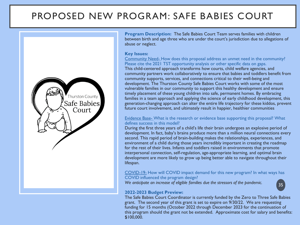### PROPOSED NEW PROGRAM: SAFE BABIES COURT



**Program Description:** The Safe Babies Court Team serves families with children between birth and age three who are under the court's jurisdiction due to allegations of abuse or neglect.

#### **Key Issues:**

Community Need- How does this proposal address an unmet need in the community? Please cite the 2021 TST opportunity analysis or other specific data on gaps. This child-centered approach transforms how courts, child welfare agencies, and community partners work collaboratively to ensure that babies and toddlers benefit from community supports, services, and connections critical to their well-being and development. The Thurston County Safe Babies Court works with some of the most vulnerable families in our community to support this healthy development and ensure timely placement of these young children into safe, permanent homes. By embracing families in a team approach and applying the science of early childhood development, this generation-changing approach can alter the entire life trajectory for these kiddos, prevent future court involvement, and ultimately result in happier, healthier communities

#### Evidence Base- What is the research or evidence base supporting this proposal? What defines success in this model?

During the first three years of a child's life their brain undergoes an explosive period of development. In fact, baby's brains produce more than a million neural connections every second. This rapid period of brain-building makes the relationships, experiences, and environment of a child during those years incredibly important in creating the roadmap for the rest of their lives. Infants and toddlers raised in environments that promote interpersonal connection, self-regulation, age-appropriate learning, and optimal brain development are more likely to grow up being better able to navigate throughout their lifespan.

#### COVID-19- How will COVID impact demand for this new program? In what ways has COVID influenced the program design?

*We anticipate an increase of eligible families due the stressors of the pandemic.*

#### **2022-2023 Budget Preview:**

The Safe Babies Court Coordinator is currently funded by the Zero to Three Safe Babies grant. The second year of this grant is set to expire on 9/30/22. We are requesting funding for 15 months (October 2022 through December 2023 for the continuation of this program should the grant not be extended. Approximate cost for salary and benefits: \$100,000.

35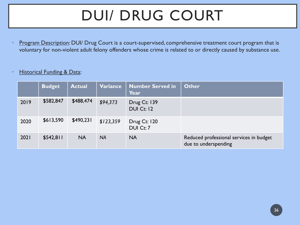# DUI/ DRUG COURT

Program Description: DUI/ Drug Court is a court-supervised, comprehensive treatment court program that is voluntary for non-violent adult felony offenders whose crime is related to or directly caused by substance use.

### **Historical Funding & Data:**

|      | <b>Budget</b> | <b>Actual</b> | Variance  | Number Served in<br>Year          | <b>Other</b>                                                    |
|------|---------------|---------------|-----------|-----------------------------------|-----------------------------------------------------------------|
| 2019 | \$582,847     | \$488,474     | \$94,373  | Drug Ct: 139<br><b>DUI Ct: 12</b> |                                                                 |
| 2020 | \$613,590     | \$490,231     | \$123,359 | Drug Ct: 120<br>DUI Ct: 7         |                                                                 |
| 2021 | \$542,811     | <b>NA</b>     | <b>NA</b> | <b>NA</b>                         | Reduced professional services in budget<br>due to underspending |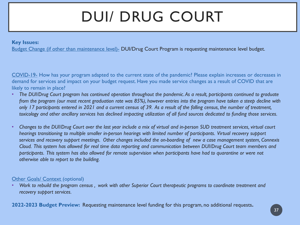# DUI/ DRUG COURT

#### **Key Issues:**

Budget Change (if other than maintenance level)- DUI/Drug Court Program is requesting maintenance level budget.

COVID-19- How has your program adapted to the current state of the pandemic? Please explain increases or decreases in demand for services and impact on your budget request. Have you made service changes as a result of COVID that are likely to remain in place?

- *The DUI/Drug Court program has continued operation throughout the pandemic. As a result, participants continued to graduate from the program (our most recent graduation rate was 85%), however entries into the program have taken a steep decline with only 17 participants entered in 2021 and a current census of 39. As a result of the falling census, the number of treatment, toxicology and other ancillary services has declined impacting utilization of all fund sources dedicated to funding those services.*
- *Changes to the DUI/Drug Court over the last year include a mix of virtual and in-person SUD treatment services, virtual court hearings transitioning to multiple smaller in-person hearings with limited number of participants. Virtual recovery support services and recovery support meetings. Other changes included the on-boarding of new a case management system, Connexis Cloud. This system has allowed for real time data reporting and communication between DUI/Drug Court team members and participants. This system has also allowed for remote supervision when participants have had to quarantine or were not otherwise able to report to the building.*

#### **Other Goals/ Context (optional)**

• *Work to rebuild the program census , work with other Superior Court therapeutic programs to coordinate treatment and recovery support services.* 

**2022-2023 Budget Preview:** Requesting maintenance level funding for this program, no additional requests**.**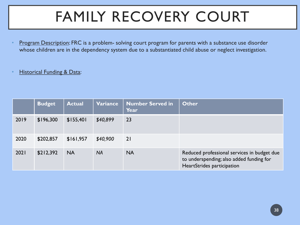# FAMILY RECOVERY COURT

Program Description: FRC is a problem- solving court program for parents with a substance use disorder whose children are in the dependency system due to a substantiated child abuse or neglect investigation.

### **Historical Funding & Data:**

|      | <b>Budget</b> | <b>Actual</b> | Variance  | <b>Number Served in</b><br>Year | <b>Other</b>                                                                                                          |
|------|---------------|---------------|-----------|---------------------------------|-----------------------------------------------------------------------------------------------------------------------|
| 2019 | \$196,300     | \$155,401     | \$40,899  | 23                              |                                                                                                                       |
| 2020 | \$202,857     | \$161,957     | \$40,900  | 21                              |                                                                                                                       |
| 2021 | \$212,392     | <b>NA</b>     | <b>NA</b> | <b>NA</b>                       | Reduced professional services in budget due<br>to underspending; also added funding for<br>HeartStrides participation |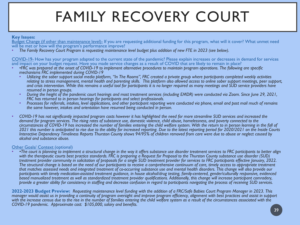# FAMILY RECOVERY COURT

#### **Key Issues:**

Budget Change (if other than maintenance level)- If you are requesting additional funding for this program, what will it cover? What unmet need will be met or how will the program's performance improve?

• *The Family Recovery Court Program is requesting maintenance level budget plus addition of new FTE in 2023 (see below).*

COVID-19- How has your program adapted to the current state of the pandemic? Please explain increases or decreases in demand for services and impact on your budget request. Have you made service changes as a result of COVID that are likely to remain in place?

- *•FRC was prepared at the onset of COVID-19 to implement alternative procedures to maintain program operations. The following are specific* 
	- *mechanisms FRC implemented during COVID-19 Utilizing the sober support social media platform, "In The Rooms", FRC created a private group where participants completed weekly activities relating to stress management, mental health and parenting skills. This platform also allowed access to online sober support meetings, peer support, and crisis intervention. While this remains a useful tool for participants it is no longer required as many meetings and SUD service providers have*
	- resumed in person groups.<br>During the height of the pandemic court hearings and most treatment services (including EMDR) were conducted via Zoom. Since June 29, 2021,<br>FRC has returned to in person hearings for participants
	- Processes for referrals, intakes, level applications, and other participant reporting were conducted via phone, email and post mail much of remains *the same however, intakes and orientation have resumed being conducted in person.*
- *COVID-19 has not significantly impacted program costs however it has highlighted the need for more streamline SUD services and increased the demand for program services. The rising rates of substance use, domestic violence, child abuse, homelessness, and poverty connected to the circumstances of COVID-19 has increased the number of families entering the child welfare system. With the return to in person learning in the fall of 2021 this number is anticipated to rise due to the ability for increased reporting. Due to the latest reporting period for 2020/2021 on the Inside Courts Interactive Dependency Timeliness Reports Thurston County shows 94/95% of children removed from care were due to abuse or neglect caused by alcohol and substance abuse.*

Other Goals/ Context (optional) • *•The court is planning to implement a structural change in the way it offers substance use disorder treatment services to FRC participants to better align with the therapeutic courts best practice standards. FRC is preparing a Request for Proposal to the Thurston County substance use disorder (SUD) treatment provider community in solicitation of proposals for a single SUD treatment provider for services to FRC participants effective January, 2022. The structural change is based on the need of our participants to receive a comprehensive continuum of care, timely access to appropriate treatment that matches assessed needs and integrated treatment of co-occurring substance use and mental health disorders. This change will also provide our participants with timely medication-assisted treatment guidance, in house alcohol/drug testing, family-centered, gender/culturally responsive, evidenced based manualized treatment as well as standardized treatment provider qualifications. Additionally, this change will increase participant comradery, provide a greater ability for consistency in staffing and decrease confusion in regard to participants navigating the process of receiving SUD services.*

**2022-2023 Budget Preview:** *Requesting maintenance level funding with the addition of a FRC/Safe Babies Court Program Manager in 2023. This manager would assist us in providing a continuity of program oversight and improve program efficiency, alignment with best practices and assist in support*  with the increase census due to the rise in the number of families entering the child welfare system as a result of the circumstances associated with the *COVID-19 pandemic. Approximate cost: \$105,000, salary and benefits.*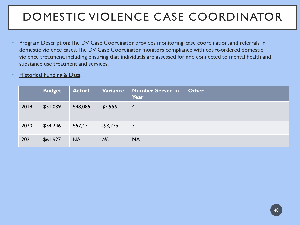# DOMESTIC VIOLENCE CASE COORDINATOR

- Program Description: The DV Case Coordinator provides monitoring, case coordination, and referrals in domestic violence cases. The DV Case Coordinator monitors compliance with court-ordered domestic violence treatment, including ensuring that individuals are assessed for and connected to mental health and substance use treatment and services.
- **Historical Funding & Data:**

|      | <b>Budget</b> | <b>Actual</b> | Variance    | <b>Number Served in</b><br>Year | <b>Other</b> |
|------|---------------|---------------|-------------|---------------------------------|--------------|
| 2019 | \$51,039      | \$48,085      | \$2,955     | 41                              |              |
| 2020 | \$54,246      | \$57,471      | $-$ \$3,225 | 51                              |              |
| 2021 | \$61,927      | <b>NA</b>     | <b>NA</b>   | <b>NA</b>                       |              |